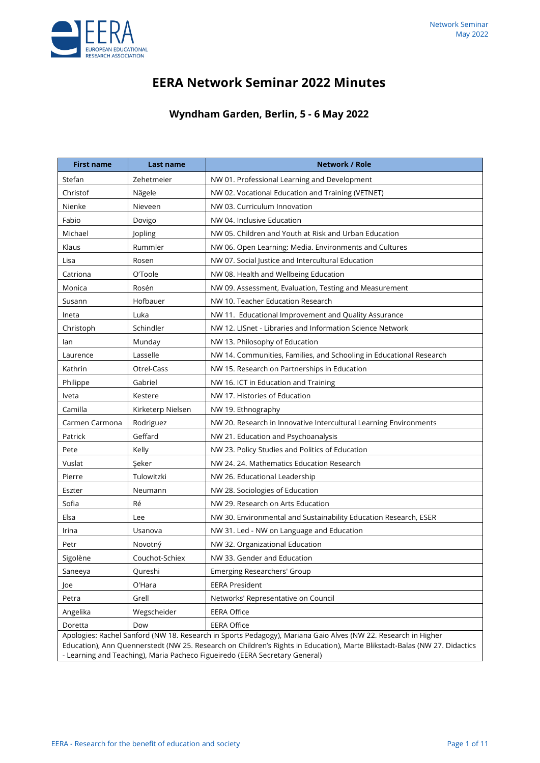# **EERA Network Seminar 2022 Minutes**

## **Wyndham Garden, Berlin, 5 - 6 May 2022**

| <b>First name</b>                                                                                                                                                                                                                                                                                                         | Last name         | <b>Network / Role</b>                                               |
|---------------------------------------------------------------------------------------------------------------------------------------------------------------------------------------------------------------------------------------------------------------------------------------------------------------------------|-------------------|---------------------------------------------------------------------|
| Stefan                                                                                                                                                                                                                                                                                                                    | Zehetmeier        | NW 01. Professional Learning and Development                        |
| Christof                                                                                                                                                                                                                                                                                                                  | Nägele            | NW 02. Vocational Education and Training (VETNET)                   |
| Nienke                                                                                                                                                                                                                                                                                                                    | Nieveen           | NW 03. Curriculum Innovation                                        |
| Fabio                                                                                                                                                                                                                                                                                                                     | Dovigo            | NW 04. Inclusive Education                                          |
| Michael                                                                                                                                                                                                                                                                                                                   | Jopling           | NW 05. Children and Youth at Risk and Urban Education               |
| Klaus                                                                                                                                                                                                                                                                                                                     | Rummler           | NW 06. Open Learning: Media. Environments and Cultures              |
| Lisa                                                                                                                                                                                                                                                                                                                      | Rosen             | NW 07. Social Justice and Intercultural Education                   |
| Catriona                                                                                                                                                                                                                                                                                                                  | O'Toole           | NW 08. Health and Wellbeing Education                               |
| Monica                                                                                                                                                                                                                                                                                                                    | Rosén             | NW 09. Assessment, Evaluation, Testing and Measurement              |
| Susann                                                                                                                                                                                                                                                                                                                    | Hofbauer          | NW 10. Teacher Education Research                                   |
| Ineta                                                                                                                                                                                                                                                                                                                     | Luka              | NW 11. Educational Improvement and Quality Assurance                |
| Christoph                                                                                                                                                                                                                                                                                                                 | Schindler         | NW 12. LISnet - Libraries and Information Science Network           |
| lan                                                                                                                                                                                                                                                                                                                       | Munday            | NW 13. Philosophy of Education                                      |
| Laurence                                                                                                                                                                                                                                                                                                                  | Lasselle          | NW 14. Communities, Families, and Schooling in Educational Research |
| Kathrin                                                                                                                                                                                                                                                                                                                   | Otrel-Cass        | NW 15. Research on Partnerships in Education                        |
| Philippe                                                                                                                                                                                                                                                                                                                  | Gabriel           | NW 16. ICT in Education and Training                                |
| Iveta                                                                                                                                                                                                                                                                                                                     | Kestere           | NW 17. Histories of Education                                       |
| Camilla                                                                                                                                                                                                                                                                                                                   | Kirketerp Nielsen | NW 19. Ethnography                                                  |
| Carmen Carmona                                                                                                                                                                                                                                                                                                            | Rodriguez         | NW 20. Research in Innovative Intercultural Learning Environments   |
| Patrick                                                                                                                                                                                                                                                                                                                   | Geffard           | NW 21. Education and Psychoanalysis                                 |
| Pete                                                                                                                                                                                                                                                                                                                      | Kelly             | NW 23. Policy Studies and Politics of Education                     |
| Vuslat                                                                                                                                                                                                                                                                                                                    | Seker             | NW 24. 24. Mathematics Education Research                           |
| Pierre                                                                                                                                                                                                                                                                                                                    | Tulowitzki        | NW 26. Educational Leadership                                       |
| Eszter                                                                                                                                                                                                                                                                                                                    | Neumann           | NW 28. Sociologies of Education                                     |
| Sofia                                                                                                                                                                                                                                                                                                                     | Ré                | NW 29. Research on Arts Education                                   |
| Elsa                                                                                                                                                                                                                                                                                                                      | Lee               | NW 30. Environmental and Sustainability Education Research, ESER    |
| Irina                                                                                                                                                                                                                                                                                                                     | Usanova           | NW 31. Led - NW on Language and Education                           |
| Petr                                                                                                                                                                                                                                                                                                                      | Novotný           | NW 32. Organizational Education                                     |
| Sigolène                                                                                                                                                                                                                                                                                                                  | Couchot-Schiex    | NW 33. Gender and Education                                         |
| Saneeya                                                                                                                                                                                                                                                                                                                   | Qureshi           | Emerging Researchers' Group                                         |
| Joe                                                                                                                                                                                                                                                                                                                       | O'Hara            | <b>EERA President</b>                                               |
| Petra                                                                                                                                                                                                                                                                                                                     | Grell             | Networks' Representative on Council                                 |
| Angelika                                                                                                                                                                                                                                                                                                                  | Wegscheider       | <b>EERA Office</b>                                                  |
| Doretta                                                                                                                                                                                                                                                                                                                   | Dow               | <b>EERA Office</b>                                                  |
| Apologies: Rachel Sanford (NW 18. Research in Sports Pedagogy), Mariana Gaio Alves (NW 22. Research in Higher<br>Education), Ann Quennerstedt (NW 25. Research on Children's Rights in Education), Marte Blikstadt-Balas (NW 27. Didactics<br>- Learning and Teaching), Maria Pacheco Figueiredo (EERA Secretary General) |                   |                                                                     |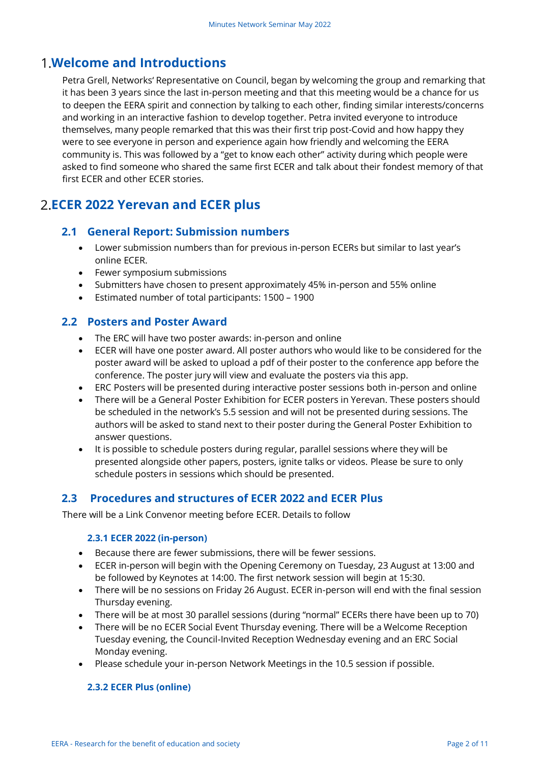# **Welcome and Introductions**

Petra Grell, Networks' Representative on Council, began by welcoming the group and remarking that it has been 3 years since the last in-person meeting and that this meeting would be a chance for us to deepen the EERA spirit and connection by talking to each other, finding similar interests/concerns and working in an interactive fashion to develop together. Petra invited everyone to introduce themselves, many people remarked that this was their first trip post-Covid and how happy they were to see everyone in person and experience again how friendly and welcoming the EERA community is. This was followed by a "get to know each other" activity during which people were asked to find someone who shared the same first ECER and talk about their fondest memory of that first ECER and other ECER stories.

# **ECER 2022 Yerevan and ECER plus**

## **2.1 General Report: Submission numbers**

- Lower submission numbers than for previous in-person ECERs but similar to last year's online ECER.
- Fewer symposium submissions
- Submitters have chosen to present approximately 45% in-person and 55% online
- Estimated number of total participants: 1500 1900

### **2.2 Posters and Poster Award**

- The ERC will have two poster awards: in-person and online
- ECER will have one poster award. All poster authors who would like to be considered for the poster award will be asked to upload a pdf of their poster to the conference app before the conference. The poster jury will view and evaluate the posters via this app.
- ERC Posters will be presented during interactive poster sessions both in-person and online
- There will be a General Poster Exhibition for ECER posters in Yerevan. These posters should be scheduled in the network's 5.5 session and will not be presented during sessions. The authors will be asked to stand next to their poster during the General Poster Exhibition to answer questions.
- It is possible to schedule posters during regular, parallel sessions where they will be presented alongside other papers, posters, ignite talks or videos. Please be sure to only schedule posters in sessions which should be presented.

## **2.3 Procedures and structures of ECER 2022 and ECER Plus**

There will be a Link Convenor meeting before ECER. Details to follow

#### **2.3.1 ECER 2022 (in-person)**

- Because there are fewer submissions, there will be fewer sessions.
- ECER in-person will begin with the Opening Ceremony on Tuesday, 23 August at 13:00 and be followed by Keynotes at 14:00. The first network session will begin at 15:30.
- There will be no sessions on Friday 26 August. ECER in-person will end with the final session Thursday evening.
- There will be at most 30 parallel sessions (during "normal" ECERs there have been up to 70)
- There will be no ECER Social Event Thursday evening. There will be a Welcome Reception Tuesday evening, the Council-Invited Reception Wednesday evening and an ERC Social Monday evening.
- Please schedule your in-person Network Meetings in the 10.5 session if possible.

#### **2.3.2 ECER Plus (online)**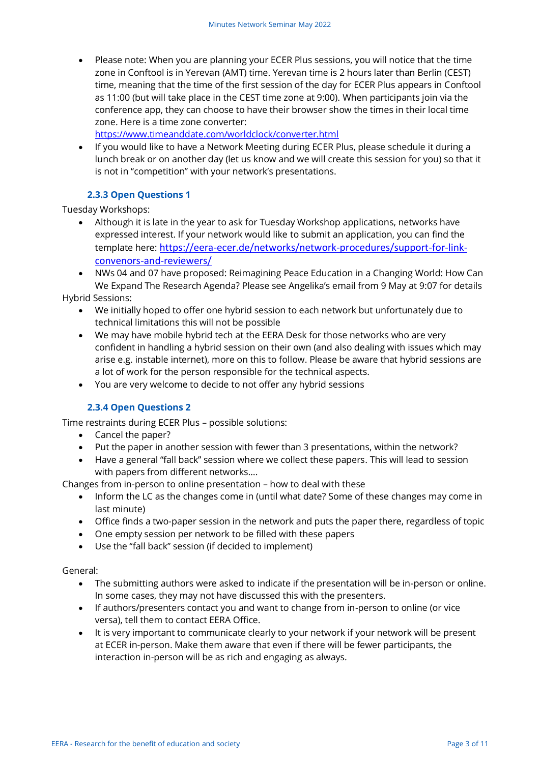• Please note: When you are planning your ECER Plus sessions, you will notice that the time zone in Conftool is in Yerevan (AMT) time. Yerevan time is 2 hours later than Berlin (CEST) time, meaning that the time of the first session of the day for ECER Plus appears in Conftool as 11:00 (but will take place in the CEST time zone at 9:00). When participants join via the conference app, they can choose to have their browser show the times in their local time zone. Here is a time zone converter:

<https://www.timeanddate.com/worldclock/converter.html>

• If you would like to have a Network Meeting during ECER Plus, please schedule it during a lunch break or on another day (let us know and we will create this session for you) so that it is not in "competition" with your network's presentations.

#### **2.3.3 Open Questions 1**

Tuesday Workshops:

• Although it is late in the year to ask for Tuesday Workshop applications, networks have expressed interest. If your network would like to submit an application, you can find the template here: [https://eera-ecer.de/networks/network-procedures/support-for-link](https://eera-ecer.de/networks/network-procedures/support-for-link-convenors-and-reviewers/)[convenors-and-reviewers/](https://eera-ecer.de/networks/network-procedures/support-for-link-convenors-and-reviewers/)

• NWs 04 and 07 have proposed: Reimagining Peace Education in a Changing World: How Can We Expand The Research Agenda? Please see Angelika's email from 9 May at 9:07 for details Hybrid Sessions:

- We initially hoped to offer one hybrid session to each network but unfortunately due to technical limitations this will not be possible
- We may have mobile hybrid tech at the EERA Desk for those networks who are very confident in handling a hybrid session on their own (and also dealing with issues which may arise e.g. instable internet), more on this to follow. Please be aware that hybrid sessions are a lot of work for the person responsible for the technical aspects.
- You are very welcome to decide to not offer any hybrid sessions

#### **2.3.4 Open Questions 2**

Time restraints during ECER Plus – possible solutions:

- Cancel the paper?
- Put the paper in another session with fewer than 3 presentations, within the network?
- Have a general "fall back" session where we collect these papers. This will lead to session with papers from different networks….

Changes from in-person to online presentation – how to deal with these

- Inform the LC as the changes come in (until what date? Some of these changes may come in last minute)
- Office finds a two-paper session in the network and puts the paper there, regardless of topic
- One empty session per network to be filled with these papers
- Use the "fall back" session (if decided to implement)

General:

- The submitting authors were asked to indicate if the presentation will be in-person or online. In some cases, they may not have discussed this with the presenters.
- If authors/presenters contact you and want to change from in-person to online (or vice versa), tell them to contact EERA Office.
- It is very important to communicate clearly to your network if your network will be present at ECER in-person. Make them aware that even if there will be fewer participants, the interaction in-person will be as rich and engaging as always.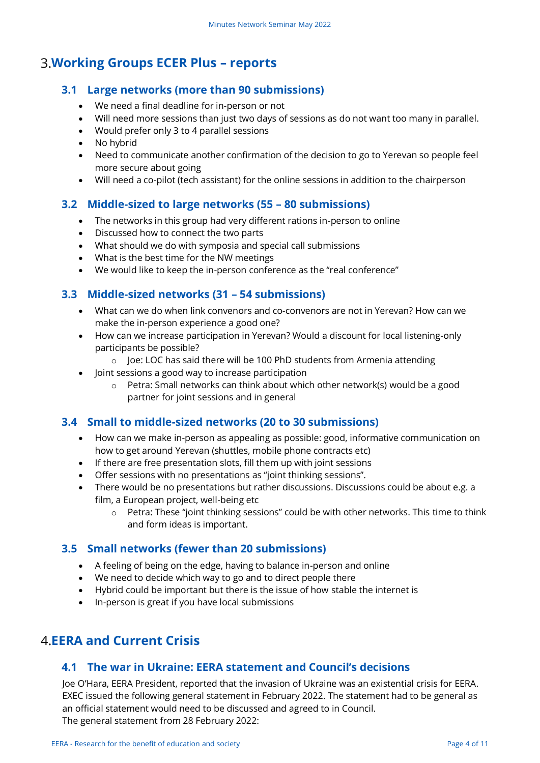# **Working Groups ECER Plus – reports**

### **3.1 Large networks (more than 90 submissions)**

- We need a final deadline for in-person or not
- Will need more sessions than just two days of sessions as do not want too many in parallel.
- Would prefer only 3 to 4 parallel sessions
- No hybrid
- Need to communicate another confirmation of the decision to go to Yerevan so people feel more secure about going
- Will need a co-pilot (tech assistant) for the online sessions in addition to the chairperson

### **3.2 Middle-sized to large networks (55 – 80 submissions)**

- The networks in this group had very different rations in-person to online
- Discussed how to connect the two parts
- What should we do with symposia and special call submissions
- What is the best time for the NW meetings
- We would like to keep the in-person conference as the "real conference"

### **3.3 Middle-sized networks (31 – 54 submissions)**

- What can we do when link convenors and co-convenors are not in Yerevan? How can we make the in-person experience a good one?
- How can we increase participation in Yerevan? Would a discount for local listening-only participants be possible?
	- o Joe: LOC has said there will be 100 PhD students from Armenia attending
- Joint sessions a good way to increase participation
	- o Petra: Small networks can think about which other network(s) would be a good partner for joint sessions and in general

## **3.4 Small to middle-sized networks (20 to 30 submissions)**

- How can we make in-person as appealing as possible: good, informative communication on how to get around Yerevan (shuttles, mobile phone contracts etc)
- If there are free presentation slots, fill them up with joint sessions
- Offer sessions with no presentations as "joint thinking sessions".
- There would be no presentations but rather discussions. Discussions could be about e.g. a film, a European project, well-being etc
	- $\circ$  Petra: These "joint thinking sessions" could be with other networks. This time to think and form ideas is important.

## **3.5 Small networks (fewer than 20 submissions)**

- A feeling of being on the edge, having to balance in-person and online
- We need to decide which way to go and to direct people there
- Hybrid could be important but there is the issue of how stable the internet is
- In-person is great if you have local submissions

## **EERA and Current Crisis**

### **4.1 The war in Ukraine: EERA statement and Council's decisions**

Joe O'Hara, EERA President, reported that the invasion of Ukraine was an existential crisis for EERA. EXEC issued the following general statement in February 2022. The statement had to be general as an official statement would need to be discussed and agreed to in Council. The general statement from 28 February 2022: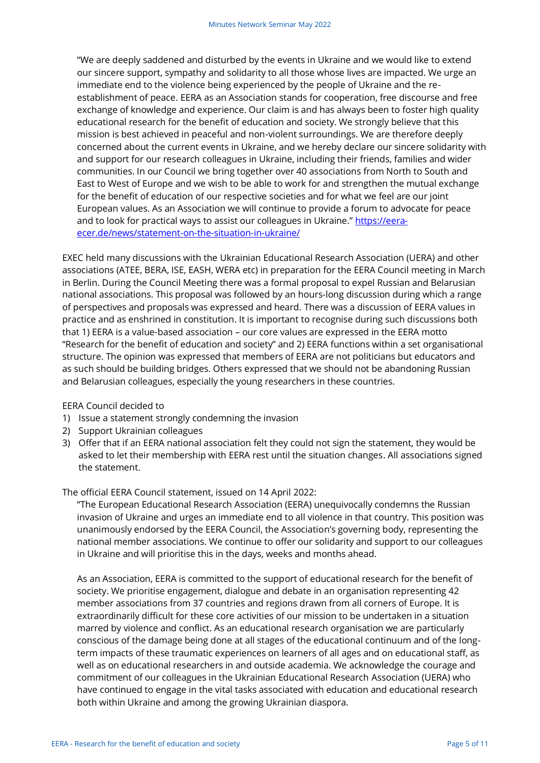"We are deeply saddened and disturbed by the events in Ukraine and we would like to extend our sincere support, sympathy and solidarity to all those whose lives are impacted. We urge an immediate end to the violence being experienced by the people of Ukraine and the reestablishment of peace. EERA as an Association stands for cooperation, free discourse and free exchange of knowledge and experience. Our claim is and has always been to foster high quality educational research for the benefit of education and society. We strongly believe that this mission is best achieved in peaceful and non-violent surroundings. We are therefore deeply concerned about the current events in Ukraine, and we hereby declare our sincere solidarity with and support for our research colleagues in Ukraine, including their friends, families and wider communities. In our Council we bring together over 40 associations from North to South and East to West of Europe and we wish to be able to work for and strengthen the mutual exchange for the benefit of education of our respective societies and for what we feel are our joint European values. As an Association we will continue to provide a forum to advocate for peace and to look for practical ways to assist our colleagues in Ukraine." [https://eera](https://eera-ecer.de/news/statement-on-the-situation-in-ukraine/)[ecer.de/news/statement-on-the-situation-in-ukraine/](https://eera-ecer.de/news/statement-on-the-situation-in-ukraine/)

EXEC held many discussions with the Ukrainian Educational Research Association (UERA) and other associations (ATEE, BERA, ISE, EASH, WERA etc) in preparation for the EERA Council meeting in March in Berlin. During the Council Meeting there was a formal proposal to expel Russian and Belarusian national associations. This proposal was followed by an hours-long discussion during which a range of perspectives and proposals was expressed and heard. There was a discussion of EERA values in practice and as enshrined in constitution. It is important to recognise during such discussions both that 1) EERA is a value-based association – our core values are expressed in the EERA motto "Research for the benefit of education and society" and 2) EERA functions within a set organisational structure. The opinion was expressed that members of EERA are not politicians but educators and as such should be building bridges. Others expressed that we should not be abandoning Russian and Belarusian colleagues, especially the young researchers in these countries.

#### EERA Council decided to

- 1) Issue a statement strongly condemning the invasion
- 2) Support Ukrainian colleagues
- 3) Offer that if an EERA national association felt they could not sign the statement, they would be asked to let their membership with EERA rest until the situation changes. All associations signed the statement.

The official EERA Council statement, issued on 14 April 2022:

"The European Educational Research Association (EERA) unequivocally condemns the Russian invasion of Ukraine and urges an immediate end to all violence in that country. This position was unanimously endorsed by the EERA Council, the Association's governing body, representing the national member associations. We continue to offer our solidarity and support to our colleagues in Ukraine and will prioritise this in the days, weeks and months ahead.

As an Association, EERA is committed to the support of educational research for the benefit of society. We prioritise engagement, dialogue and debate in an organisation representing 42 member associations from 37 countries and regions drawn from all corners of Europe. It is extraordinarily difficult for these core activities of our mission to be undertaken in a situation marred by violence and conflict. As an educational research organisation we are particularly conscious of the damage being done at all stages of the educational continuum and of the longterm impacts of these traumatic experiences on learners of all ages and on educational staff, as well as on educational researchers in and outside academia. We acknowledge the courage and commitment of our colleagues in the Ukrainian Educational Research Association (UERA) who have continued to engage in the vital tasks associated with education and educational research both within Ukraine and among the growing Ukrainian diaspora.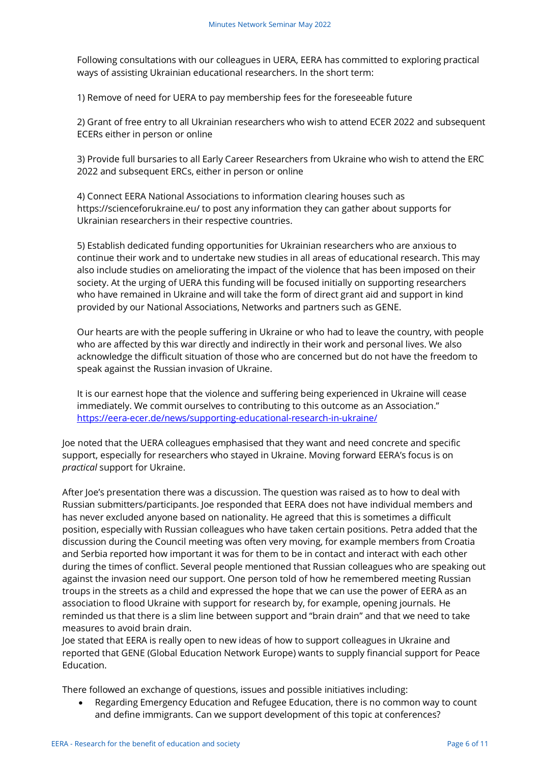Following consultations with our colleagues in UERA, EERA has committed to exploring practical ways of assisting Ukrainian educational researchers. In the short term:

1) Remove of need for UERA to pay membership fees for the foreseeable future

2) Grant of free entry to all Ukrainian researchers who wish to attend ECER 2022 and subsequent ECERs either in person or online

3) Provide full bursaries to all Early Career Researchers from Ukraine who wish to attend the ERC 2022 and subsequent ERCs, either in person or online

4) Connect EERA National Associations to information clearing houses such as https://scienceforukraine.eu/ to post any information they can gather about supports for Ukrainian researchers in their respective countries.

5) Establish dedicated funding opportunities for Ukrainian researchers who are anxious to continue their work and to undertake new studies in all areas of educational research. This may also include studies on ameliorating the impact of the violence that has been imposed on their society. At the urging of UERA this funding will be focused initially on supporting researchers who have remained in Ukraine and will take the form of direct grant aid and support in kind provided by our National Associations, Networks and partners such as GENE.

Our hearts are with the people suffering in Ukraine or who had to leave the country, with people who are affected by this war directly and indirectly in their work and personal lives. We also acknowledge the difficult situation of those who are concerned but do not have the freedom to speak against the Russian invasion of Ukraine.

It is our earnest hope that the violence and suffering being experienced in Ukraine will cease immediately. We commit ourselves to contributing to this outcome as an Association." <https://eera-ecer.de/news/supporting-educational-research-in-ukraine/>

Joe noted that the UERA colleagues emphasised that they want and need concrete and specific support, especially for researchers who stayed in Ukraine. Moving forward EERA's focus is on *practical* support for Ukraine.

After Joe's presentation there was a discussion. The question was raised as to how to deal with Russian submitters/participants. Joe responded that EERA does not have individual members and has never excluded anyone based on nationality. He agreed that this is sometimes a difficult position, especially with Russian colleagues who have taken certain positions. Petra added that the discussion during the Council meeting was often very moving, for example members from Croatia and Serbia reported how important it was for them to be in contact and interact with each other during the times of conflict. Several people mentioned that Russian colleagues who are speaking out against the invasion need our support. One person told of how he remembered meeting Russian troups in the streets as a child and expressed the hope that we can use the power of EERA as an association to flood Ukraine with support for research by, for example, opening journals. He reminded us that there is a slim line between support and "brain drain" and that we need to take measures to avoid brain drain.

Joe stated that EERA is really open to new ideas of how to support colleagues in Ukraine and reported that GENE (Global Education Network Europe) wants to supply financial support for Peace Education.

There followed an exchange of questions, issues and possible initiatives including:

• Regarding Emergency Education and Refugee Education, there is no common way to count and define immigrants. Can we support development of this topic at conferences?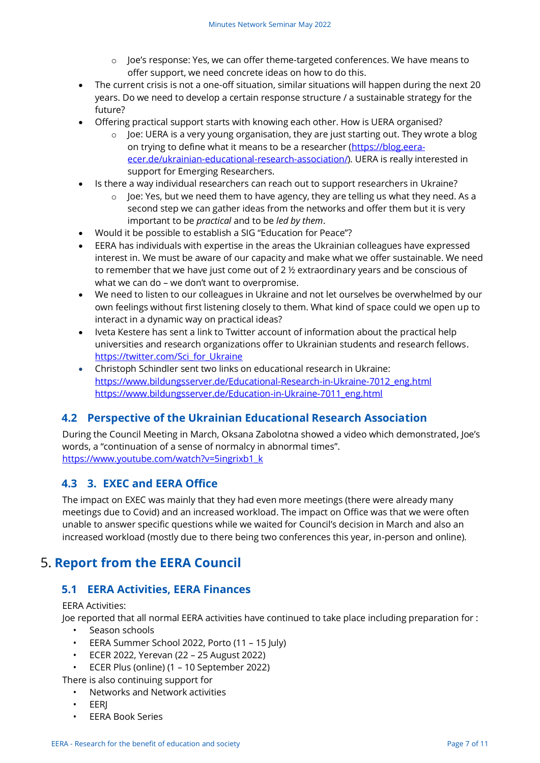- $\circ$  Joe's response: Yes, we can offer theme-targeted conferences. We have means to offer support, we need concrete ideas on how to do this.
- The current crisis is not a one-off situation, similar situations will happen during the next 20 years. Do we need to develop a certain response structure / a sustainable strategy for the future?
- Offering practical support starts with knowing each other. How is UERA organised?
	- $\circ$  Joe: UERA is a very young organisation, they are just starting out. They wrote a blog on trying to define what it means to be a researcher [\(https://blog.eera](https://blog.eera-ecer.de/ukrainian-educational-research-association/)[ecer.de/ukrainian-educational-research-association/\)](https://blog.eera-ecer.de/ukrainian-educational-research-association/). UERA is really interested in support for Emerging Researchers.
- Is there a way individual researchers can reach out to support researchers in Ukraine?
	- o Joe: Yes, but we need them to have agency, they are telling us what they need. As a second step we can gather ideas from the networks and offer them but it is very important to be *practical* and to be *led by them*.
- Would it be possible to establish a SIG "Education for Peace"?
- EERA has individuals with expertise in the areas the Ukrainian colleagues have expressed interest in. We must be aware of our capacity and make what we offer sustainable. We need to remember that we have just come out of 2 ½ extraordinary years and be conscious of what we can do – we don't want to overpromise.
- We need to listen to our colleagues in Ukraine and not let ourselves be overwhelmed by our own feelings without first listening closely to them. What kind of space could we open up to interact in a dynamic way on practical ideas?
- Iveta Kestere has sent a link to Twitter account of information about the practical help universities and research organizations offer to Ukrainian students and research fellows. https://twitter.com/Sci\_for\_Ukraine
- Christoph Schindler sent two links on educational research in Ukraine: [https://www.bildungsserver.de/Educational-Research-in-Ukraine-7012\\_eng.html](https://www.bildungsserver.de/Educational-Research-in-Ukraine-7012_eng.html) [https://www.bildungsserver.de/Education-in-Ukraine-7011\\_eng.html](https://www.bildungsserver.de/Education-in-Ukraine-7011_eng.html)

## **4.2 Perspective of the Ukrainian Educational Research Association**

During the Council Meeting in March, Oksana Zabolotna showed a video which demonstrated, Joe's words, a "continuation of a sense of normalcy in abnormal times". [https://www.youtube.com/watch?v=5ingrixb1\\_k](https://www.youtube.com/watch?v=5ingrixb1_k)

## **4.3 3. EXEC and EERA Office**

The impact on EXEC was mainly that they had even more meetings (there were already many meetings due to Covid) and an increased workload. The impact on Office was that we were often unable to answer specific questions while we waited for Council's decision in March and also an increased workload (mostly due to there being two conferences this year, in-person and online).

# **5. Report from the EERA Council**

## **5.1 EERA Activities, EERA Finances**

EERA Activities:

Joe reported that all normal EERA activities have continued to take place including preparation for :

- Season schools
- EERA Summer School 2022, Porto (11 15 July)
- ECER 2022, Yerevan (22 25 August 2022)
- ECER Plus (online) (1 10 September 2022)

There is also continuing support for

- Networks and Network activities
- EERJ
- EERA Book Series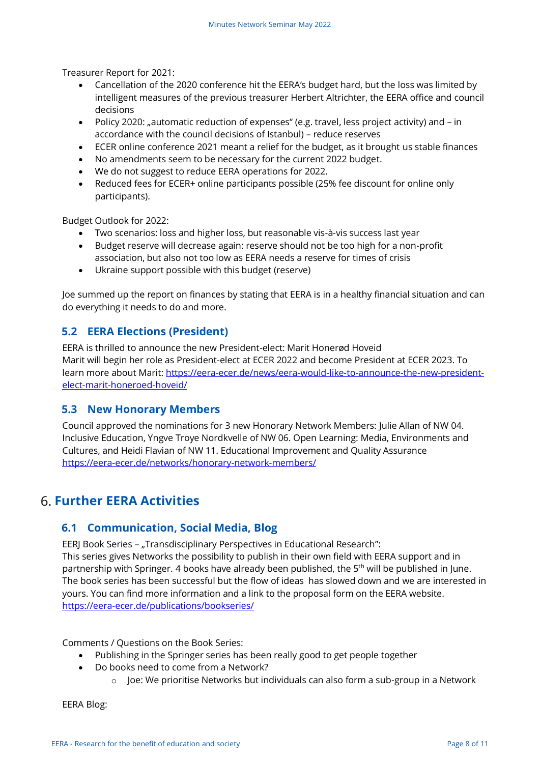Treasurer Report for 2021:

- Cancellation of the 2020 conference hit the EERA's budget hard, but the loss was limited by intelligent measures of the previous treasurer Herbert Altrichter, the EERA office and council decisions
- Policy 2020: "automatic reduction of expenses" (e.g. travel, less project activity) and in accordance with the council decisions of Istanbul) – reduce reserves
- ECER online conference 2021 meant a relief for the budget, as it brought us stable finances
- No amendments seem to be necessary for the current 2022 budget.
- We do not suggest to reduce EERA operations for 2022.
- Reduced fees for ECER+ online participants possible (25% fee discount for online only participants).

Budget Outlook for 2022:

- Two scenarios: loss and higher loss, but reasonable vis-à-vis success last year
- Budget reserve will decrease again: reserve should not be too high for a non-profit association, but also not too low as EERA needs a reserve for times of crisis
- Ukraine support possible with this budget (reserve)

Joe summed up the report on finances by stating that EERA is in a healthy financial situation and can do everything it needs to do and more.

## **5.2 EERA Elections (President)**

EERA is thrilled to announce the new President-elect: Marit Honerød Hoveid Marit will begin her role as President-elect at ECER 2022 and become President at ECER 2023. To learn more about Marit: [https://eera-ecer.de/news/eera-would-like-to-announce-the-new-president](https://eera-ecer.de/news/eera-would-like-to-announce-the-new-president-elect-marit-honeroed-hoveid/)[elect-marit-honeroed-hoveid/](https://eera-ecer.de/news/eera-would-like-to-announce-the-new-president-elect-marit-honeroed-hoveid/)

## **5.3 New Honorary Members**

Council approved the nominations for 3 new Honorary Network Members: Julie Allan of NW 04. Inclusive Education, Yngve Troye Nordkvelle of NW 06. Open Learning: Media, Environments and Cultures, and Heidi Flavian of NW 11. Educational Improvement and Quality Assurance <https://eera-ecer.de/networks/honorary-network-members/>

## **Further EERA Activities**

## **6.1 Communication, Social Media, Blog**

EERJ Book Series - "Transdisciplinary Perspectives in Educational Research": This series gives Networks the possibility to publish in their own field with EERA support and in partnership with Springer. 4 books have already been published, the 5<sup>th</sup> will be published in June. The book series has been successful but the flow of ideas has slowed down and we are interested in yours. You can find more information and a link to the proposal form on the EERA website. <https://eera-ecer.de/publications/bookseries/>

Comments / Questions on the Book Series:

- Publishing in the Springer series has been really good to get people together
- Do books need to come from a Network?
	- o Joe: We prioritise Networks but individuals can also form a sub-group in a Network

EERA Blog: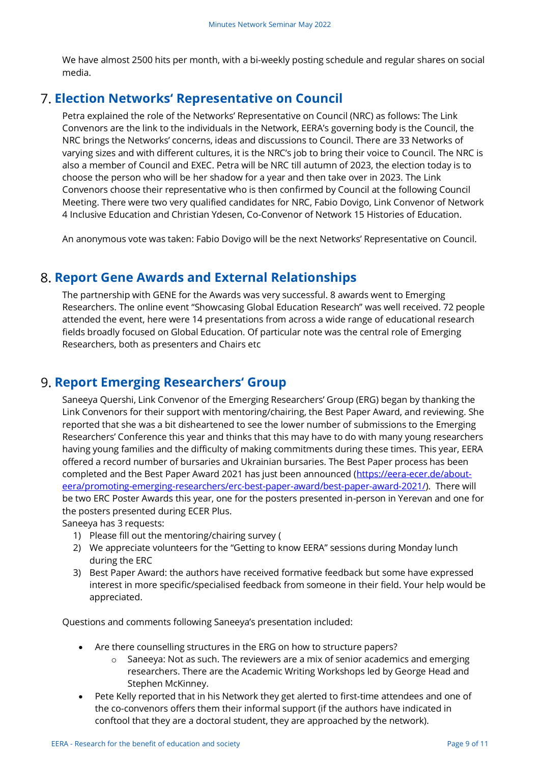We have almost 2500 hits per month, with a bi-weekly posting schedule and regular shares on social media.

## **Election Networks' Representative on Council**

Petra explained the role of the Networks' Representative on Council (NRC) as follows: The Link Convenors are the link to the individuals in the Network, EERA's governing body is the Council, the NRC brings the Networks' concerns, ideas and discussions to Council. There are 33 Networks of varying sizes and with different cultures, it is the NRC's job to bring their voice to Council. The NRC is also a member of Council and EXEC. Petra will be NRC till autumn of 2023, the election today is to choose the person who will be her shadow for a year and then take over in 2023. The Link Convenors choose their representative who is then confirmed by Council at the following Council Meeting. There were two very qualified candidates for NRC, Fabio Dovigo, Link Convenor of Network 4 Inclusive Education and Christian Ydesen, Co-Convenor of Network 15 Histories of Education.

An anonymous vote was taken: Fabio Dovigo will be the next Networks' Representative on Council.

## **Report Gene Awards and External Relationships**

The partnership with GENE for the Awards was very successful. 8 awards went to Emerging Researchers. The online event "Showcasing Global Education Research" was well received. 72 people attended the event, here were 14 presentations from across a wide range of educational research fields broadly focused on Global Education. Of particular note was the central role of Emerging Researchers, both as presenters and Chairs etc

## **Report Emerging Researchers' Group**

Saneeya Quershi, Link Convenor of the Emerging Researchers' Group (ERG) began by thanking the Link Convenors for their support with mentoring/chairing, the Best Paper Award, and reviewing. She reported that she was a bit disheartened to see the lower number of submissions to the Emerging Researchers' Conference this year and thinks that this may have to do with many young researchers having young families and the difficulty of making commitments during these times. This year, EERA offered a record number of bursaries and Ukrainian bursaries. The Best Paper process has been completed and the Best Paper Award 2021 has just been announced [\(https://eera-ecer.de/about](https://eera-ecer.de/about-eera/promoting-emerging-researchers/erc-best-paper-award/best-paper-award-2021/)[eera/promoting-emerging-researchers/erc-best-paper-award/best-paper-award-2021/\)](https://eera-ecer.de/about-eera/promoting-emerging-researchers/erc-best-paper-award/best-paper-award-2021/). There will be two ERC Poster Awards this year, one for the posters presented in-person in Yerevan and one for the posters presented during ECER Plus.

Saneeya has 3 requests:

- 1) Please fill out the mentoring/chairing survey (
- 2) We appreciate volunteers for the "Getting to know EERA" sessions during Monday lunch during the ERC
- 3) Best Paper Award: the authors have received formative feedback but some have expressed interest in more specific/specialised feedback from someone in their field. Your help would be appreciated.

Questions and comments following Saneeya's presentation included:

- Are there counselling structures in the ERG on how to structure papers?
	- $\circ$  Saneeya: Not as such. The reviewers are a mix of senior academics and emerging researchers. There are the Academic Writing Workshops led by George Head and Stephen McKinney.
- Pete Kelly reported that in his Network they get alerted to first-time attendees and one of the co-convenors offers them their informal support (if the authors have indicated in conftool that they are a doctoral student, they are approached by the network).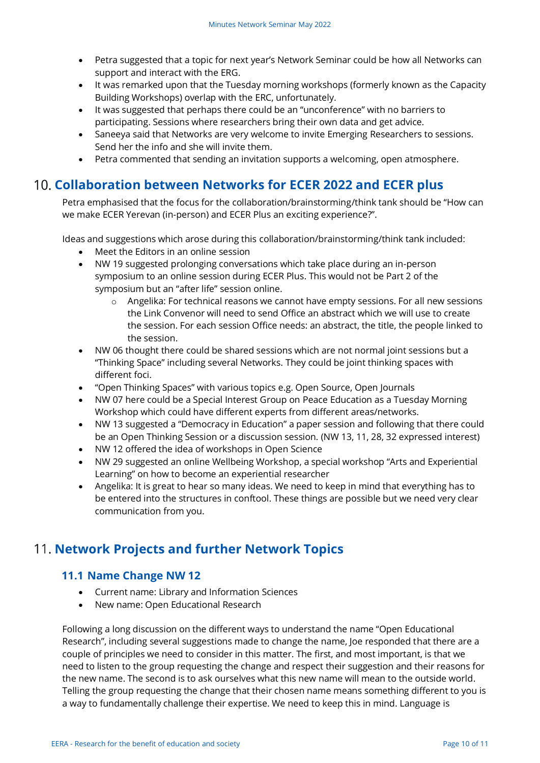- Petra suggested that a topic for next year's Network Seminar could be how all Networks can support and interact with the ERG.
- It was remarked upon that the Tuesday morning workshops (formerly known as the Capacity Building Workshops) overlap with the ERC, unfortunately.
- It was suggested that perhaps there could be an "unconference" with no barriers to participating. Sessions where researchers bring their own data and get advice.
- Saneeya said that Networks are very welcome to invite Emerging Researchers to sessions. Send her the info and she will invite them.
- Petra commented that sending an invitation supports a welcoming, open atmosphere.

## **Collaboration between Networks for ECER 2022 and ECER plus**

Petra emphasised that the focus for the collaboration/brainstorming/think tank should be "How can we make ECER Yerevan (in-person) and ECER Plus an exciting experience?".

Ideas and suggestions which arose during this collaboration/brainstorming/think tank included:

- Meet the Editors in an online session
- NW 19 suggested prolonging conversations which take place during an in-person symposium to an online session during ECER Plus. This would not be Part 2 of the symposium but an "after life" session online.
	- o Angelika: For technical reasons we cannot have empty sessions. For all new sessions the Link Convenor will need to send Office an abstract which we will use to create the session. For each session Office needs: an abstract, the title, the people linked to the session.
- NW 06 thought there could be shared sessions which are not normal joint sessions but a "Thinking Space" including several Networks. They could be joint thinking spaces with different foci.
- "Open Thinking Spaces" with various topics e.g. Open Source, Open Journals
- NW 07 here could be a Special Interest Group on Peace Education as a Tuesday Morning Workshop which could have different experts from different areas/networks.
- NW 13 suggested a "Democracy in Education" a paper session and following that there could be an Open Thinking Session or a discussion session. (NW 13, 11, 28, 32 expressed interest)
- NW 12 offered the idea of workshops in Open Science
- NW 29 suggested an online Wellbeing Workshop, a special workshop "Arts and Experiential Learning" on how to become an experiential researcher
- Angelika: It is great to hear so many ideas. We need to keep in mind that everything has to be entered into the structures in conftool. These things are possible but we need very clear communication from you.

## **Network Projects and further Network Topics**

### **11.1 Name Change NW 12**

- Current name: Library and Information Sciences
- New name: Open Educational Research

Following a long discussion on the different ways to understand the name "Open Educational Research", including several suggestions made to change the name, Joe responded that there are a couple of principles we need to consider in this matter. The first, and most important, is that we need to listen to the group requesting the change and respect their suggestion and their reasons for the new name. The second is to ask ourselves what this new name will mean to the outside world. Telling the group requesting the change that their chosen name means something different to you is a way to fundamentally challenge their expertise. We need to keep this in mind. Language is